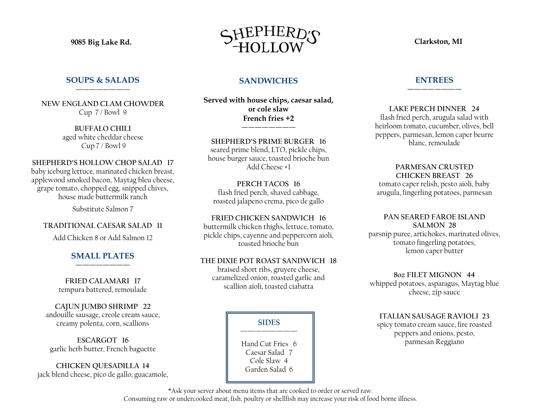# **SOUPS & SALADS** ————————

**NEW ENGLAND CLAM CHOWDER** Cup 7 / Bowl 9

> **BUFFALO CHILI** aged white cheddar cheese Cup 7 / Bowl 9

**SHEPHERD'S HOLLOW CHOP SALAD 17** baby iceburg lettuce, marinated chicken breast, applewood smoked bacon, Maytag bleu cheese, grape tomato, chopped egg, snipped chives, house made buttermilk ranch

Substitute Salmon 7

# **TRADITIONAL CAESAR SALAD 11**

Add Chicken 8 or Add Salmon 12

## **SMALL PLATES** ————————

**FRIED CALAMARI 17** tempura battered, remoulade

**CAJUN JUMBO SHRIMP 22** andouille sausage, creole cream sauce, creamy polenta, corn, scallions

**ESCARGOT 16** garlic herb butter, French baguette

**CHICKEN QUESADILLA 14** jack blend cheese, pico de gallo, guacamole,



# **SANDWICHES**

**Served with house chips, caesar salad, or cole slaw French fries +2**

————————

**SHEPHERD'S PRIME BURGER 16** seared prime blend, LTO, pickle chips, house burger sauce, toasted brioche bun Add Cheese +1

**PERCH TACOS 16** flash fried perch, shaved cabbage, roasted jalapeno crema, pico de gallo

**FRIED CHICKEN SANDWICH 16** buttermilk chicken thighs, lettuce, tomato, pickle chips, cayenne and peppercorn aioli, toasted brioche bun

## **THE DIXIE POT ROAST SANDWICH 18**

braised short ribs, gruyere cheese, caramelized onion, roasted garlic and scallion aioli, toasted ciabatta

> **SIDES ————————**

Hand Cut Fries 6 Caesar Salad 7 Cole Slaw 4 Garden Salad 6

### **ENTREES** ————————

**LAKE PERCH DINNER 24** flash fried perch, arugula salad with heirloom tomato, cucumber, olives, bell peppers, parmesan, lemon caper beurre blanc, remoulade

#### **PARMESAN CRUSTED CHICKEN BREAST 26**

tomato caper relish, pesto aioli, baby arugula, fingerling potatoes, parmesan

**PAN SEARED FAROE ISLAND SALMON 28**

parsnip puree, artichokes, marinated olives, tomato fingerling potatoes, lemon caper butter

**8oz FILET MIGNON 44** whipped potatoes, asparagus, Maytag blue cheese, zip sauce

**ITALIAN SAUSAGE RAVIOLI 23** spicy tomato cream sauce, fire roasted peppers and onions, pesto, parmesan Reggiano

\*Ask your server about menu items that are cooked to order or served raw.

Consuming raw or undercooked meat, fish, poultry or shellfish may increase your risk of food borne illness.